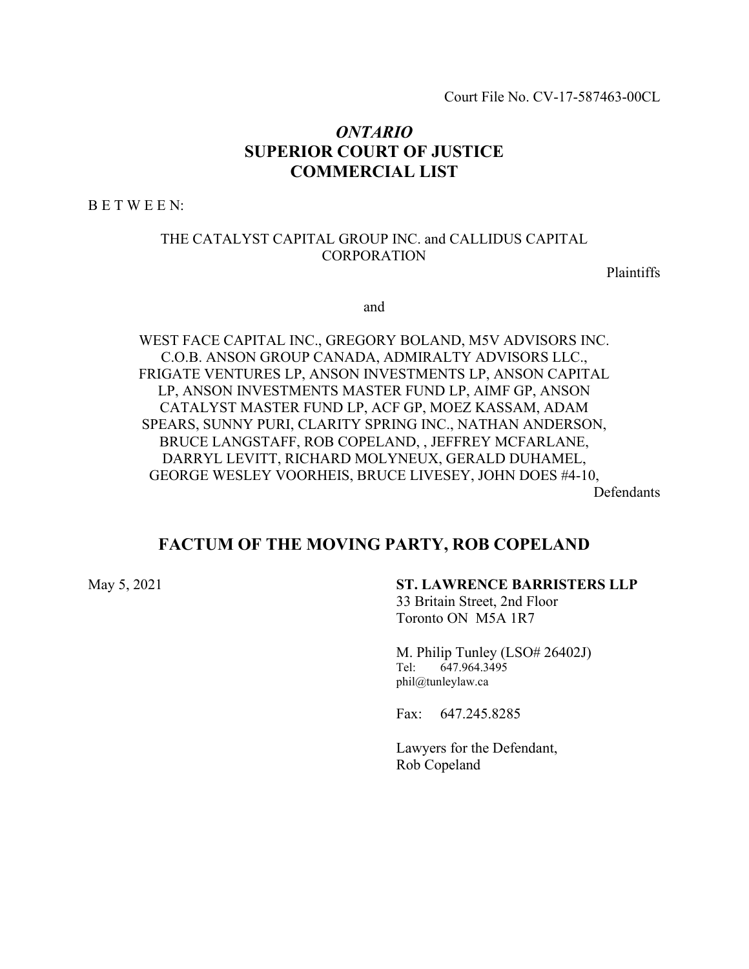Court File No. CV-17-587463-00CL

# *ONTARIO* **SUPERIOR COURT OF JUSTICE COMMERCIAL LIST**

B E T W E E N:

## THE CATALYST CAPITAL GROUP INC. and CALLIDUS CAPITAL CORPORATION

Plaintiffs

and

WEST FACE CAPITAL INC., GREGORY BOLAND, M5V ADVISORS INC. C.O.B. ANSON GROUP CANADA, ADMIRALTY ADVISORS LLC., FRIGATE VENTURES LP, ANSON INVESTMENTS LP, ANSON CAPITAL LP, ANSON INVESTMENTS MASTER FUND LP, AIMF GP, ANSON CATALYST MASTER FUND LP, ACF GP, MOEZ KASSAM, ADAM SPEARS, SUNNY PURI, CLARITY SPRING INC., NATHAN ANDERSON, BRUCE LANGSTAFF, ROB COPELAND, , JEFFREY MCFARLANE, DARRYL LEVITT, RICHARD MOLYNEUX, GERALD DUHAMEL, GEORGE WESLEY VOORHEIS, BRUCE LIVESEY, JOHN DOES #4-10, Defendants

**FACTUM OF THE MOVING PARTY, ROB COPELAND**

#### May 5, 2021 **ST. LAWRENCE BARRISTERS LLP**

33 Britain Street, 2nd Floor Toronto ON M5A 1R7

M. Philip Tunley (LSO# 26402J) Tel: 647.964.3495 phil@tunleylaw.ca

Fax: 647.245.8285

Lawyers for the Defendant, Rob Copeland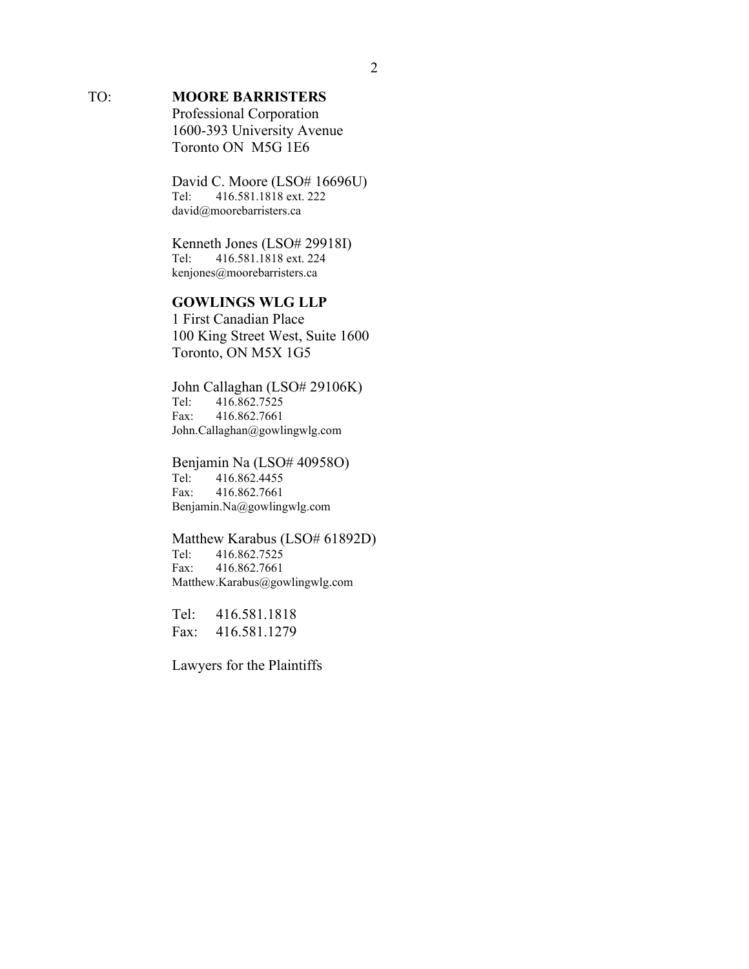# TO: **MOORE BARRISTERS**

Professional Corporation 1600-393 University Avenue Toronto ON M5G 1E6

David C. Moore (LSO# 16696U) Tel: 416.581.1818 ext. 222 david@moorebarristers.ca

Kenneth Jones (LSO# 29918I)<br>Tel: 416.581.1818 ext. 224 Tel: 416.581.1818 ext. 224 kenjones@moorebarristers.ca

## **GOWLINGS WLG LLP**

1 First Canadian Place 100 King Street West, Suite 1600 Toronto, ON M5X 1G5

John Callaghan (LSO# 29106K) Tel: 416.862.7525 Fax: 416.862.7661 John.Callaghan@gowlingwlg.com

Benjamin Na (LSO# 40958O)<br>Tel: 416.862.4455 Tel: 416.862.4455 Fax: 416.862.7661 Benjamin.Na@gowlingwlg.com

Matthew Karabus (LSO# 61892D) Tel: 416.862.7525 Fax: 416.862.7661 Matthew.Karabus@gowlingwlg.com

Tel: 416.581.1818 Fax: 416.581.1279

Lawyers for the Plaintiffs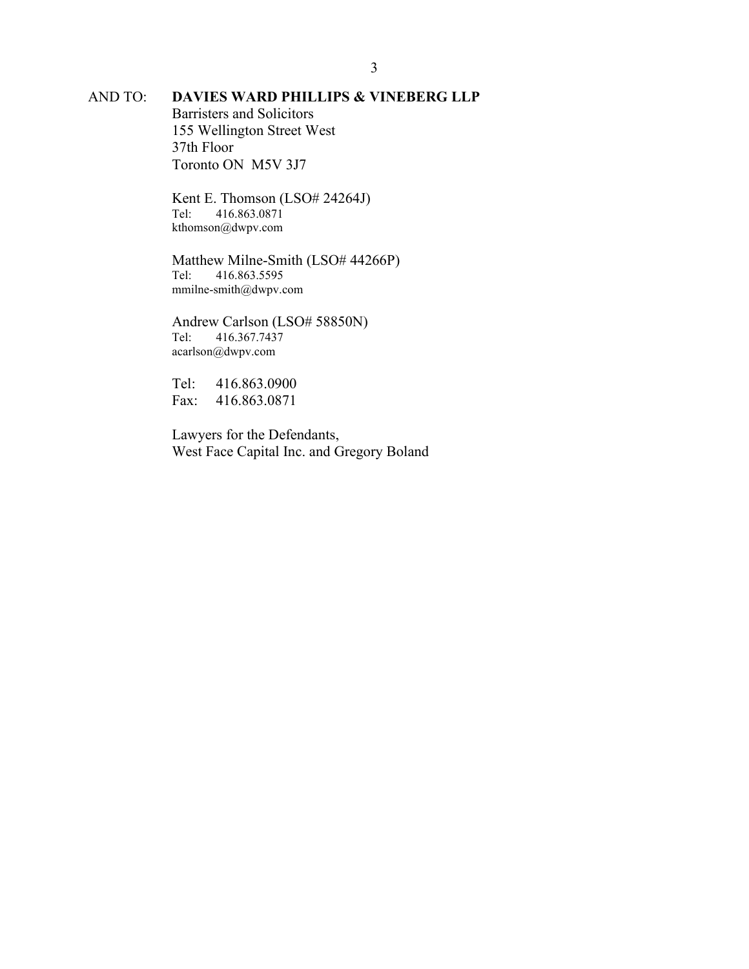# AND TO: **DAVIES WARD PHILLIPS & VINEBERG LLP**

Barristers and Solicitors 155 Wellington Street West 37th Floor Toronto ON M5V 3J7

Kent E. Thomson (LSO# 24264J) Tel: 416.863.0871 kthomson@dwpv.com

Matthew Milne-Smith (LSO# 44266P)<br>Tel: 416.863.5595 Tel: 416.863.5595 mmilne-smith@dwpv.com

Andrew Carlson (LSO# 58850N)<br>Tel: 416.367.7437 Tel: 416.367.7437 acarlson@dwpv.com

Tel: 416.863.0900 Fax: 416.863.0871

Lawyers for the Defendants, West Face Capital Inc. and Gregory Boland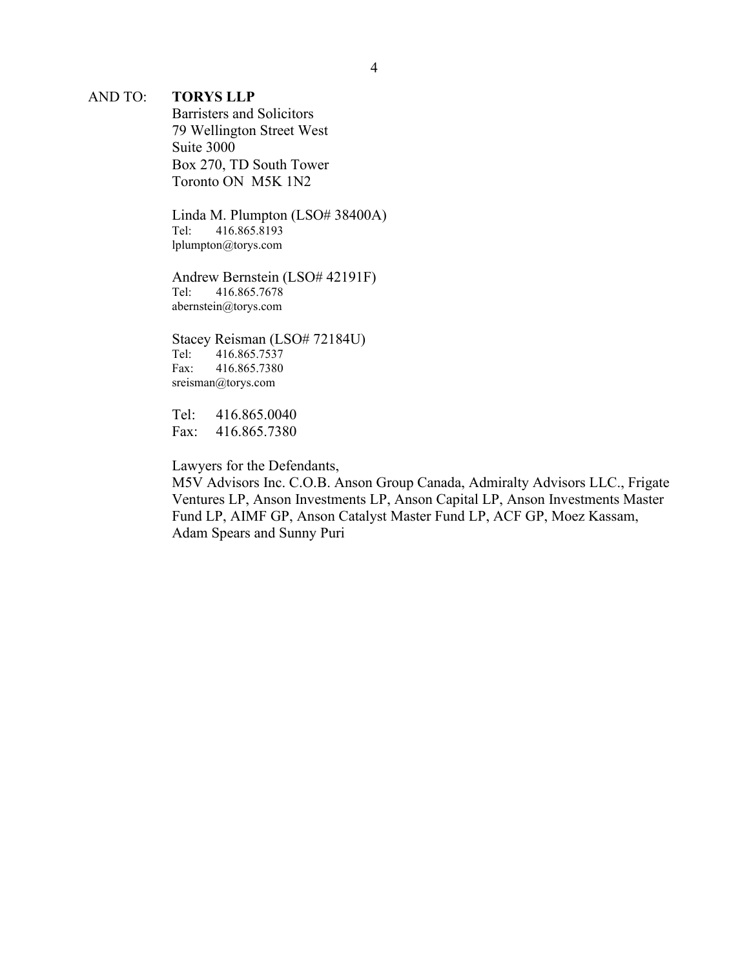#### AND TO: **TORYS LLP**

Barristers and Solicitors 79 Wellington Street West Suite 3000 Box 270, TD South Tower Toronto ON M5K 1N2

Linda M. Plumpton (LSO# 38400A)<br>Tel: 416.865.8193 Tel: 416.865.8193 lplumpton@torys.com

Andrew Bernstein (LSO# 42191F) Tel: 416.865.7678 abernstein@torys.com

Stacey Reisman (LSO# 72184U) Tel: 416.865.7537 Fax: 416.865.7380 sreisman@torys.com

Tel: 416.865.0040 Fax: 416.865.7380

Lawyers for the Defendants,

M5V Advisors Inc. C.O.B. Anson Group Canada, Admiralty Advisors LLC., Frigate Ventures LP, Anson Investments LP, Anson Capital LP, Anson Investments Master Fund LP, AIMF GP, Anson Catalyst Master Fund LP, ACF GP, Moez Kassam, Adam Spears and Sunny Puri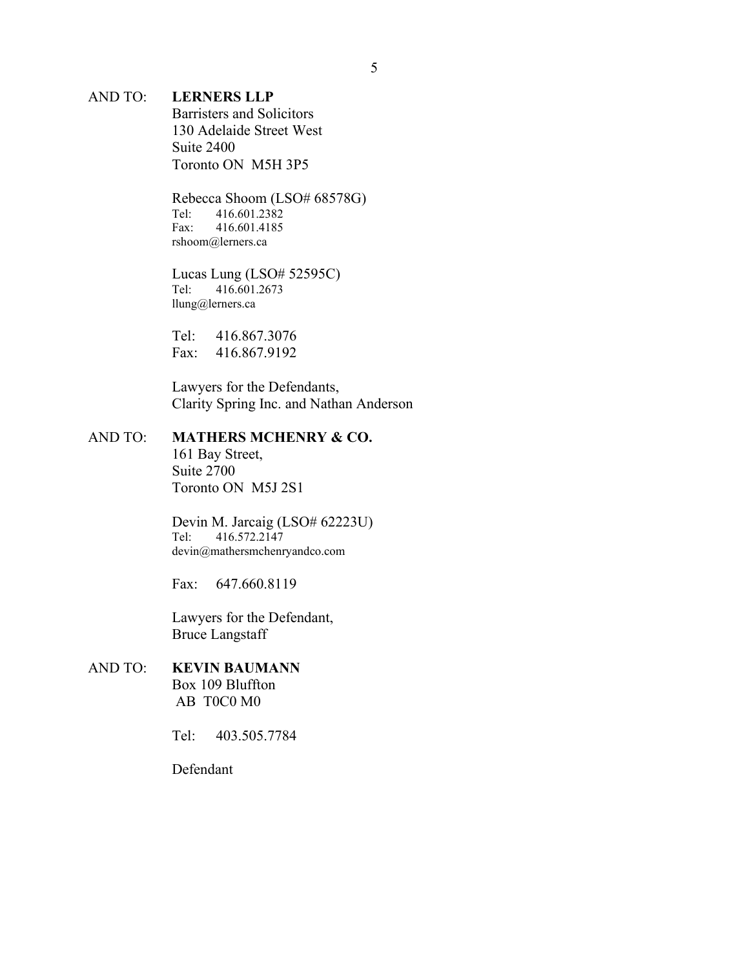#### AND TO: **LERNERS LLP**

Barristers and Solicitors 130 Adelaide Street West Suite 2400 Toronto ON M5H 3P5

Rebecca Shoom (LSO# 68578G) Tel: 416.601.2382 Fax: 416.601.4185 rshoom@lerners.ca

Lucas Lung (LSO# 52595C)<br>Tel: 416.601.2673 Tel: 416.601.2673 llung@lerners.ca

Tel: 416.867.3076 Fax: 416.867.9192

Lawyers for the Defendants, Clarity Spring Inc. and Nathan Anderson

## AND TO: **MATHERS MCHENRY & CO.**

161 Bay Street, Suite 2700 Toronto ON M5J 2S1

Devin M. Jarcaig (LSO# 62223U) Tel: 416.572.2147 devin@mathersmchenryandco.com

Fax: 647.660.8119

Lawyers for the Defendant, Bruce Langstaff

### AND TO: **KEVIN BAUMANN** Box 109 Bluffton

AB T0C0 M0

Tel: 403.505.7784

Defendant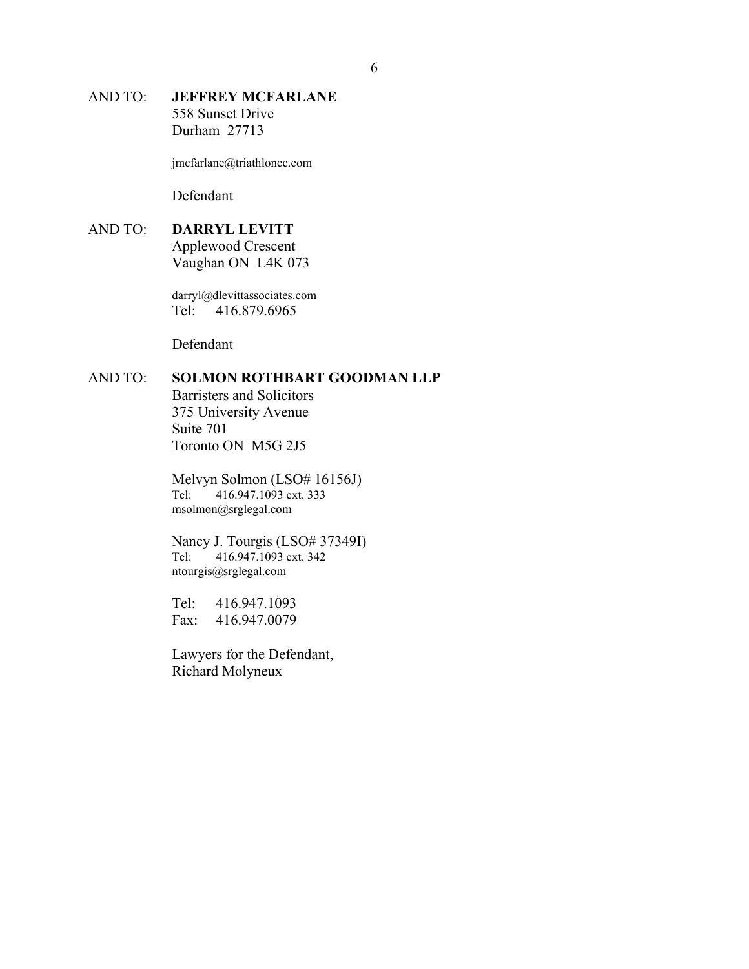### AND TO: **JEFFREY MCFARLANE** 558 Sunset Drive Durham 27713

jmcfarlane@triathloncc.com

Defendant

# AND TO: **DARRYL LEVITT**

Applewood Crescent Vaughan ON L4K 073

darryl@dlevittassociates.com Tel: 416.879.6965

Defendant

# AND TO: **SOLMON ROTHBART GOODMAN LLP**

Barristers and Solicitors 375 University Avenue Suite 701 Toronto ON M5G 2J5

Melvyn Solmon (LSO# 16156J) Tel: 416.947.1093 ext. 333 msolmon@srglegal.com

Nancy J. Tourgis (LSO# 37349I)<br>Tel: 416.947.1093 ext. 342 416.947.1093 ext. 342 ntourgis@srglegal.com

Tel: 416.947.1093 Fax: 416.947.0079

Lawyers for the Defendant, Richard Molyneux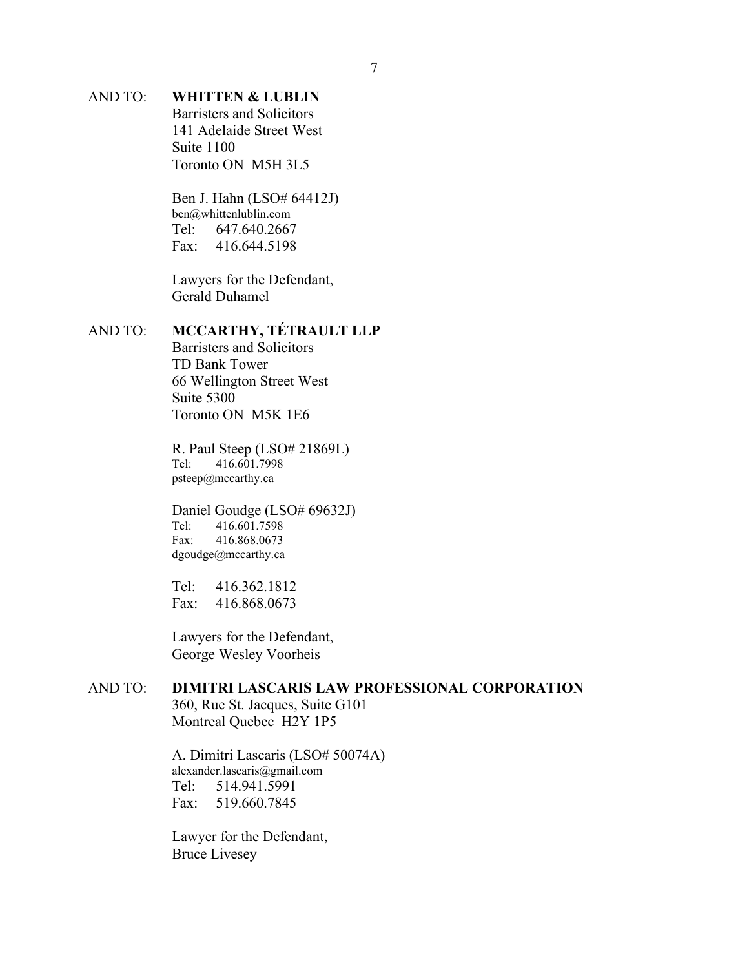# AND TO: **WHITTEN & LUBLIN**

Barristers and Solicitors 141 Adelaide Street West Suite 1100 Toronto ON M5H 3L5

Ben J. Hahn (LSO# 64412J) ben@whittenlublin.com Tel: 647.640.2667 Fax: 416.644.5198

Lawyers for the Defendant, Gerald Duhamel

#### AND TO: **MCCARTHY, TÉTRAULT LLP**

Barristers and Solicitors TD Bank Tower 66 Wellington Street West Suite 5300 Toronto ON M5K 1E6

R. Paul Steep (LSO# 21869L)<br>Tel: 416.601.7998 Tel: 416.601.7998 psteep@mccarthy.ca

Daniel Goudge (LSO# 69632J)<br>Tel: 416.601.7598 Tel: 416.601.7598 Fax: 416.868.0673 dgoudge@mccarthy.ca

Tel: 416.362.1812 Fax: 416.868.0673

Lawyers for the Defendant, George Wesley Voorheis

## AND TO: **DIMITRI LASCARIS LAW PROFESSIONAL CORPORATION**

360, Rue St. Jacques, Suite G101 Montreal Quebec H2Y 1P5

A. Dimitri Lascaris (LSO# 50074A) alexander.lascaris@gmail.com<br>Tel: 514.941.5991 Tel: 514.941.5991 Fax: 519.660.7845

Lawyer for the Defendant, Bruce Livesey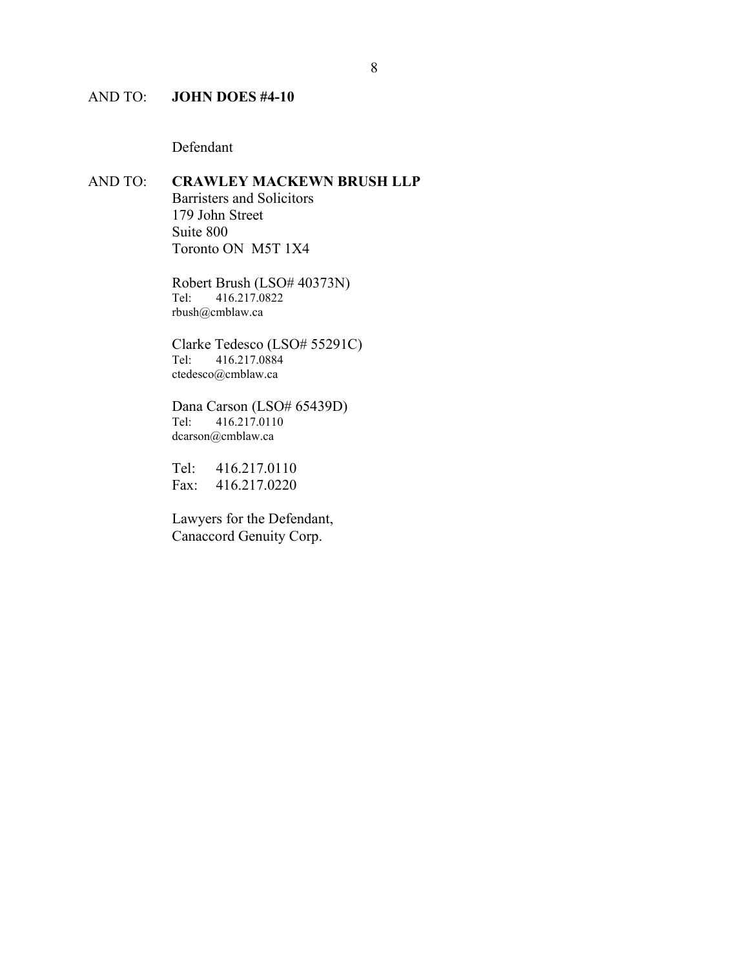## AND TO: **JOHN DOES #4-10**

Defendant

#### AND TO: **CRAWLEY MACKEWN BRUSH LLP** Barristers and Solicitors

179 John Street Suite 800 Toronto ON M5T 1X4

Robert Brush (LSO# 40373N)<br>Tel: 416.217.0822 Tel: 416.217.0822 rbush@cmblaw.ca

Clarke Tedesco (LSO# 55291C)<br>Tel: 416.217.0884 Tel: 416.217.0884 ctedesco@cmblaw.ca

Dana Carson (LSO# 65439D)<br>Tel: 416.217.0110 Tel: 416.217.0110 dcarson@cmblaw.ca

Tel: 416.217.0110 Fax: 416.217.0220

Lawyers for the Defendant, Canaccord Genuity Corp.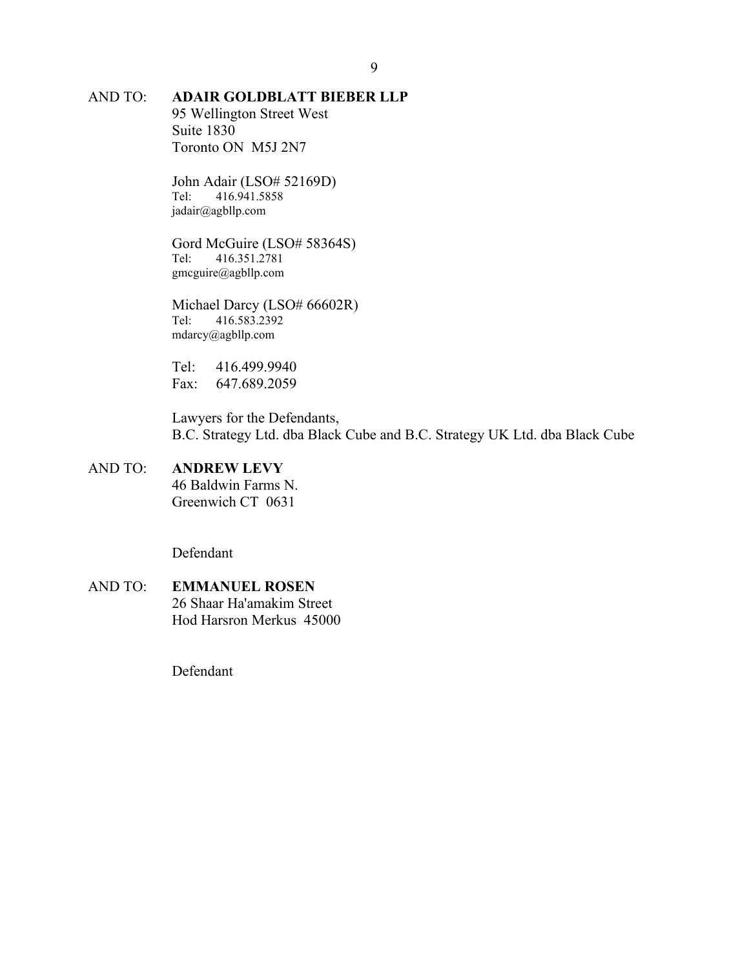# AND TO: **ADAIR GOLDBLATT BIEBER LLP**

95 Wellington Street West Suite 1830 Toronto ON M5J 2N7

John Adair (LSO# 52169D)<br>Tel: 416.941.5858 Tel: 416.941.5858 jadair@agbllp.com

Gord McGuire (LSO# 58364S)<br>Tel: 416.351.2781 Tel: 416.351.2781 gmcguire@agbllp.com

Michael Darcy (LSO# 66602R) Tel: 416.583.2392 mdarcy@agbllp.com

Tel: 416.499.9940 Fax: 647.689.2059

Lawyers for the Defendants, B.C. Strategy Ltd. dba Black Cube and B.C. Strategy UK Ltd. dba Black Cube

### AND TO: **ANDREW LEVY**

46 Baldwin Farms N. Greenwich CT 0631

Defendant

AND TO: **EMMANUEL ROSEN** 26 Shaar Ha'amakim Street Hod Harsron Merkus 45000

Defendant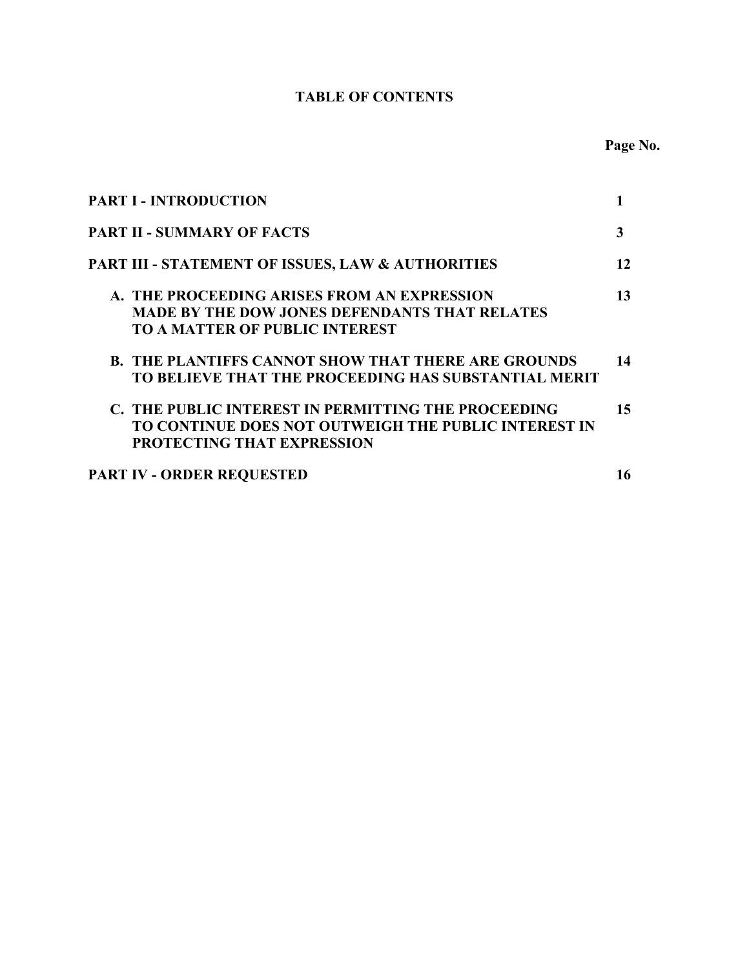# **TABLE OF CONTENTS**

| <b>PART I - INTRODUCTION</b>                               |    |
|------------------------------------------------------------|----|
| <b>PART II - SUMMARY OF FACTS</b>                          | 3  |
| PART III - STATEMENT OF ISSUES, LAW & AUTHORITIES          | 12 |
| A. THE PROCEEDING ARISES FROM AN EXPRESSION                | 13 |
| <b>MADE BY THE DOW JONES DEFENDANTS THAT RELATES</b>       |    |
| <b>TO A MATTER OF PUBLIC INTEREST</b>                      |    |
| <b>B. THE PLANTIFFS CANNOT SHOW THAT THERE ARE GROUNDS</b> | 14 |
| TO BELIEVE THAT THE PROCEEDING HAS SUBSTANTIAL MERIT       |    |
| C. THE PUBLIC INTEREST IN PERMITTING THE PROCEEDING        | 15 |
| TO CONTINUE DOES NOT OUTWEIGH THE PUBLIC INTEREST IN       |    |
| <b>PROTECTING THAT EXPRESSION</b>                          |    |
| <b>PART IV - ORDER REQUESTED</b>                           | 16 |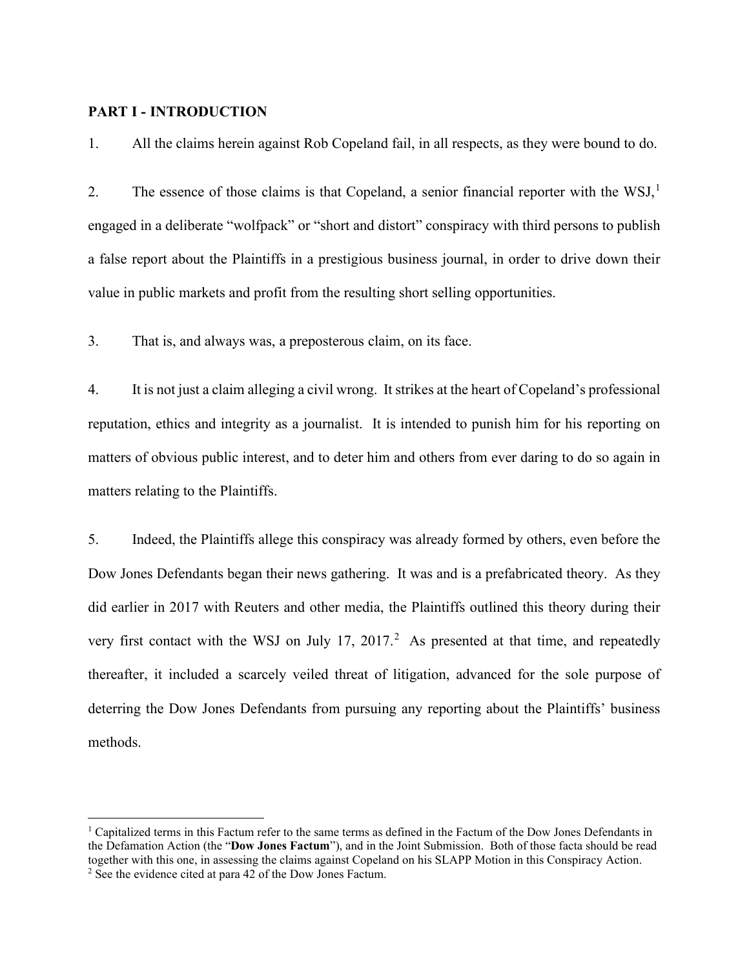#### **PART I - INTRODUCTION**

1. All the claims herein against Rob Copeland fail, in all respects, as they were bound to do.

2. The essence of those claims is that Copeland, a senior financial reporter with the WSJ,<sup>[1](#page-10-0)</sup> engaged in a deliberate "wolfpack" or "short and distort" conspiracy with third persons to publish a false report about the Plaintiffs in a prestigious business journal, in order to drive down their value in public markets and profit from the resulting short selling opportunities.

3. That is, and always was, a preposterous claim, on its face.

4. It is not just a claim alleging a civil wrong. It strikes at the heart of Copeland's professional reputation, ethics and integrity as a journalist. It is intended to punish him for his reporting on matters of obvious public interest, and to deter him and others from ever daring to do so again in matters relating to the Plaintiffs.

5. Indeed, the Plaintiffs allege this conspiracy was already formed by others, even before the Dow Jones Defendants began their news gathering. It was and is a prefabricated theory. As they did earlier in 2017 with Reuters and other media, the Plaintiffs outlined this theory during their very first contact with the WSJ on July 17, [2](#page-10-1)017.<sup>2</sup> As presented at that time, and repeatedly thereafter, it included a scarcely veiled threat of litigation, advanced for the sole purpose of deterring the Dow Jones Defendants from pursuing any reporting about the Plaintiffs' business methods.

<span id="page-10-0"></span><sup>1</sup> Capitalized terms in this Factum refer to the same terms as defined in the Factum of the Dow Jones Defendants in the Defamation Action (the "**Dow Jones Factum**"), and in the Joint Submission. Both of those facta should be read together with this one, in assessing the claims against Copeland on his SLAPP Motion in this Conspiracy Action.

<span id="page-10-1"></span><sup>2</sup> See the evidence cited at para 42 of the Dow Jones Factum.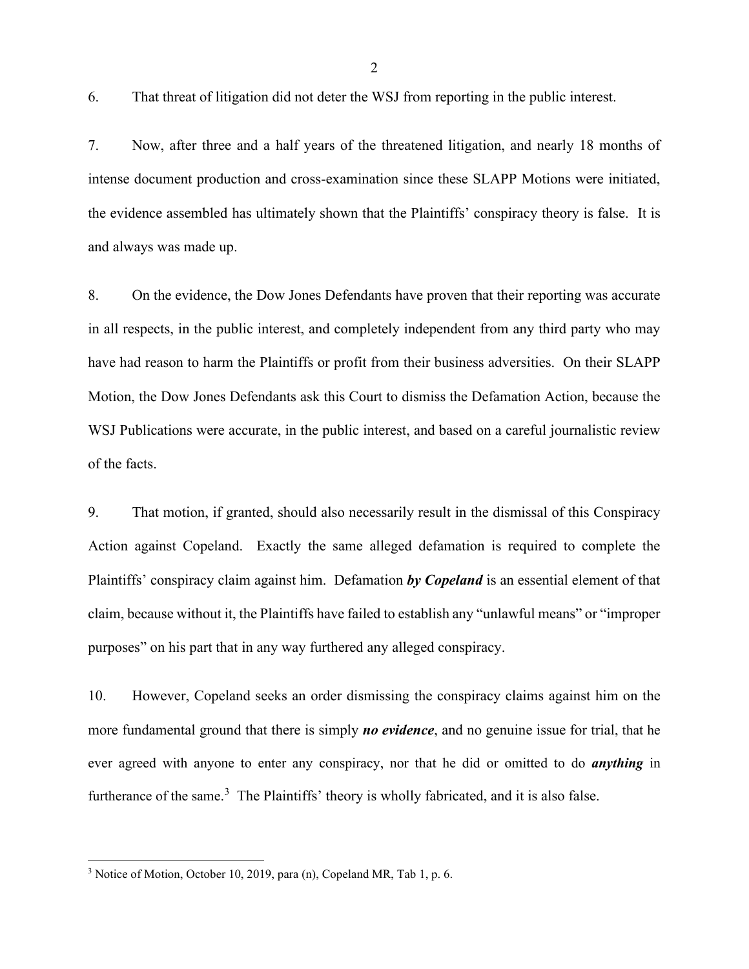6. That threat of litigation did not deter the WSJ from reporting in the public interest.

7. Now, after three and a half years of the threatened litigation, and nearly 18 months of intense document production and cross-examination since these SLAPP Motions were initiated, the evidence assembled has ultimately shown that the Plaintiffs' conspiracy theory is false. It is and always was made up.

8. On the evidence, the Dow Jones Defendants have proven that their reporting was accurate in all respects, in the public interest, and completely independent from any third party who may have had reason to harm the Plaintiffs or profit from their business adversities. On their SLAPP Motion, the Dow Jones Defendants ask this Court to dismiss the Defamation Action, because the WSJ Publications were accurate, in the public interest, and based on a careful journalistic review of the facts.

9. That motion, if granted, should also necessarily result in the dismissal of this Conspiracy Action against Copeland. Exactly the same alleged defamation is required to complete the Plaintiffs' conspiracy claim against him. Defamation *by Copeland* is an essential element of that claim, because without it, the Plaintiffs have failed to establish any "unlawful means" or "improper purposes" on his part that in any way furthered any alleged conspiracy.

10. However, Copeland seeks an order dismissing the conspiracy claims against him on the more fundamental ground that there is simply *no evidence*, and no genuine issue for trial, that he ever agreed with anyone to enter any conspiracy, nor that he did or omitted to do *anything* in furtherance of the same.<sup>[3](#page-11-0)</sup> The Plaintiffs' theory is wholly fabricated, and it is also false.

<span id="page-11-0"></span><sup>3</sup> Notice of Motion, October 10, 2019, para (n), Copeland MR, Tab 1, p. 6.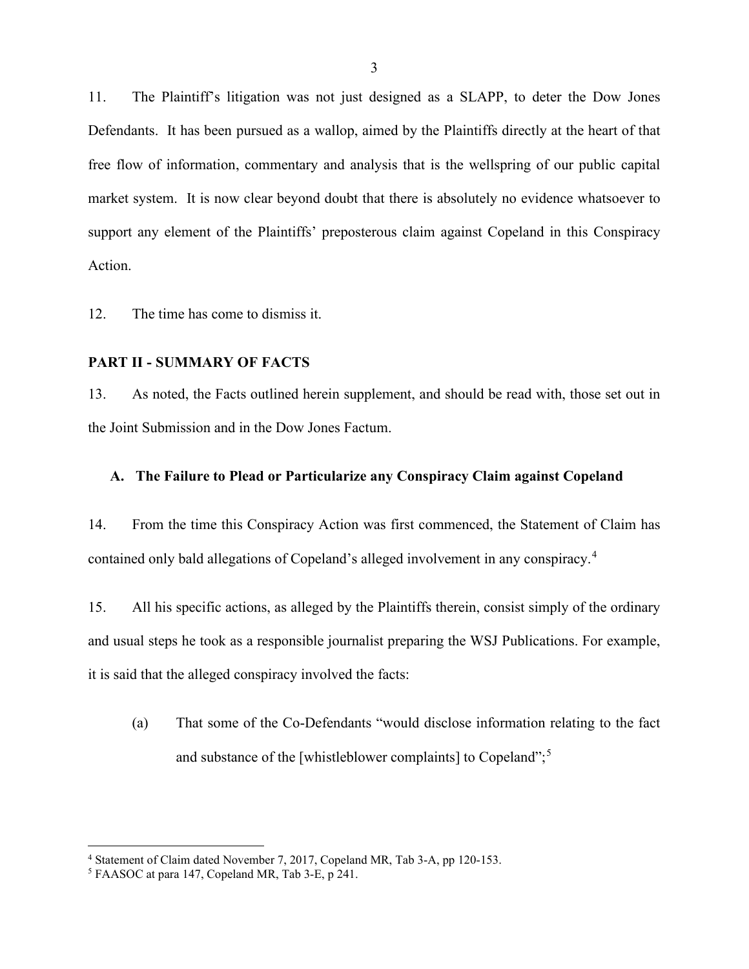11. The Plaintiff's litigation was not just designed as a SLAPP, to deter the Dow Jones Defendants. It has been pursued as a wallop, aimed by the Plaintiffs directly at the heart of that free flow of information, commentary and analysis that is the wellspring of our public capital market system. It is now clear beyond doubt that there is absolutely no evidence whatsoever to support any element of the Plaintiffs' preposterous claim against Copeland in this Conspiracy Action.

12. The time has come to dismiss it.

#### **PART II - SUMMARY OF FACTS**

13. As noted, the Facts outlined herein supplement, and should be read with, those set out in the Joint Submission and in the Dow Jones Factum.

#### **A. The Failure to Plead or Particularize any Conspiracy Claim against Copeland**

14. From the time this Conspiracy Action was first commenced, the Statement of Claim has contained only bald allegations of Copeland's alleged involvement in any conspiracy.<sup>[4](#page-12-0)</sup>

15. All his specific actions, as alleged by the Plaintiffs therein, consist simply of the ordinary and usual steps he took as a responsible journalist preparing the WSJ Publications. For example, it is said that the alleged conspiracy involved the facts:

(a) That some of the Co-Defendants "would disclose information relating to the fact and substance of the [whistleblower complaints] to Copeland";<sup>[5](#page-12-1)</sup>

<span id="page-12-0"></span><sup>&</sup>lt;sup>4</sup> Statement of Claim dated November 7, 2017, Copeland MR, Tab 3-A, pp 120-153.<br><sup>5</sup> FAASOC at para 147, Copeland MR, Tab 3-E, p 241.

<span id="page-12-1"></span>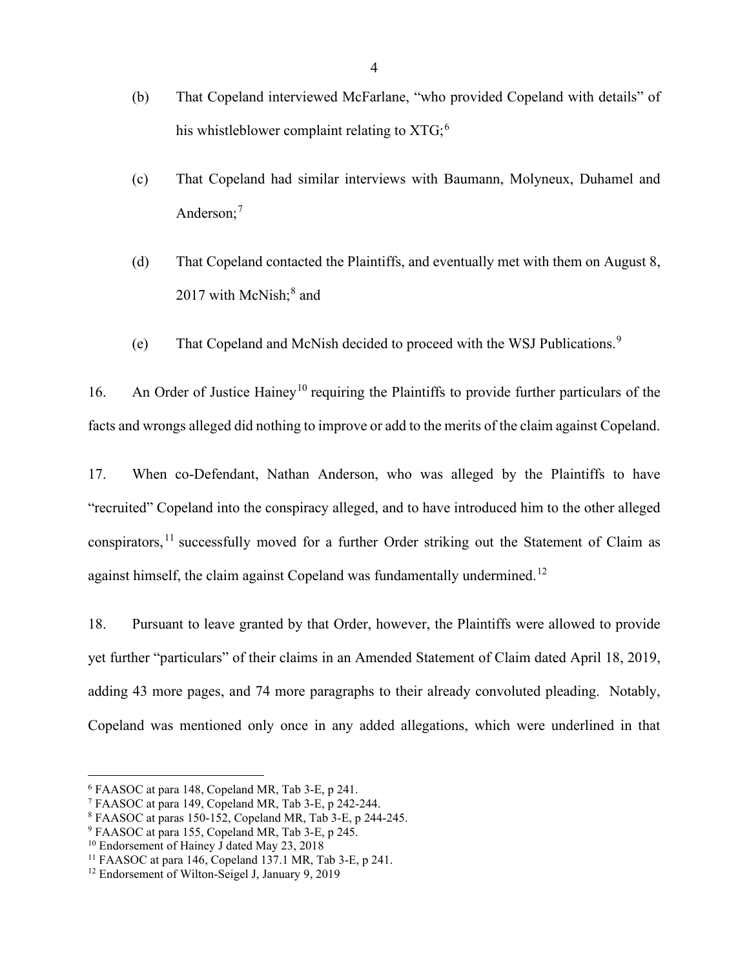- (b) That Copeland interviewed McFarlane, "who provided Copeland with details" of his whistleblower complaint relating to  $XTG<sub>i</sub>$ <sup>[6](#page-13-0)</sup>
- (c) That Copeland had similar interviews with Baumann, Molyneux, Duhamel and Anderson;<sup>[7](#page-13-1)</sup>
- (d) That Copeland contacted the Plaintiffs, and eventually met with them on August 8, 2017 with McNish;<sup>[8](#page-13-2)</sup> and
- (e) That Copeland and McNish decided to proceed with the WSJ Publications. [9](#page-13-3)

16. An Order of Justice Hainey<sup>[10](#page-13-4)</sup> requiring the Plaintiffs to provide further particulars of the facts and wrongs alleged did nothing to improve or add to the merits of the claim against Copeland.

17. When co-Defendant, Nathan Anderson, who was alleged by the Plaintiffs to have "recruited" Copeland into the conspiracy alleged, and to have introduced him to the other alleged conspirators,  $^{11}$  $^{11}$  $^{11}$  successfully moved for a further Order striking out the Statement of Claim as against himself, the claim against Copeland was fundamentally undermined.<sup>[12](#page-13-6)</sup>

18. Pursuant to leave granted by that Order, however, the Plaintiffs were allowed to provide yet further "particulars" of their claims in an Amended Statement of Claim dated April 18, 2019, adding 43 more pages, and 74 more paragraphs to their already convoluted pleading. Notably, Copeland was mentioned only once in any added allegations, which were underlined in that

<span id="page-13-0"></span><sup>6</sup> FAASOC at para 148, Copeland MR, Tab 3-E, p 241.

<span id="page-13-1"></span><sup>7</sup> FAASOC at para 149, Copeland MR, Tab 3-E, p 242-244.

<span id="page-13-2"></span><sup>8</sup> FAASOC at paras 150-152, Copeland MR, Tab 3-E, p 244-245.

<span id="page-13-3"></span><sup>9</sup> FAASOC at para 155, Copeland MR, Tab 3-E, p 245.

<span id="page-13-4"></span><sup>&</sup>lt;sup>10</sup> Endorsement of Hainey J dated May 23, 2018

<span id="page-13-5"></span><sup>11</sup> FAASOC at para 146, Copeland 137.1 MR, Tab 3-E, p 241.

<span id="page-13-6"></span><sup>&</sup>lt;sup>12</sup> Endorsement of Wilton-Seigel J, January 9, 2019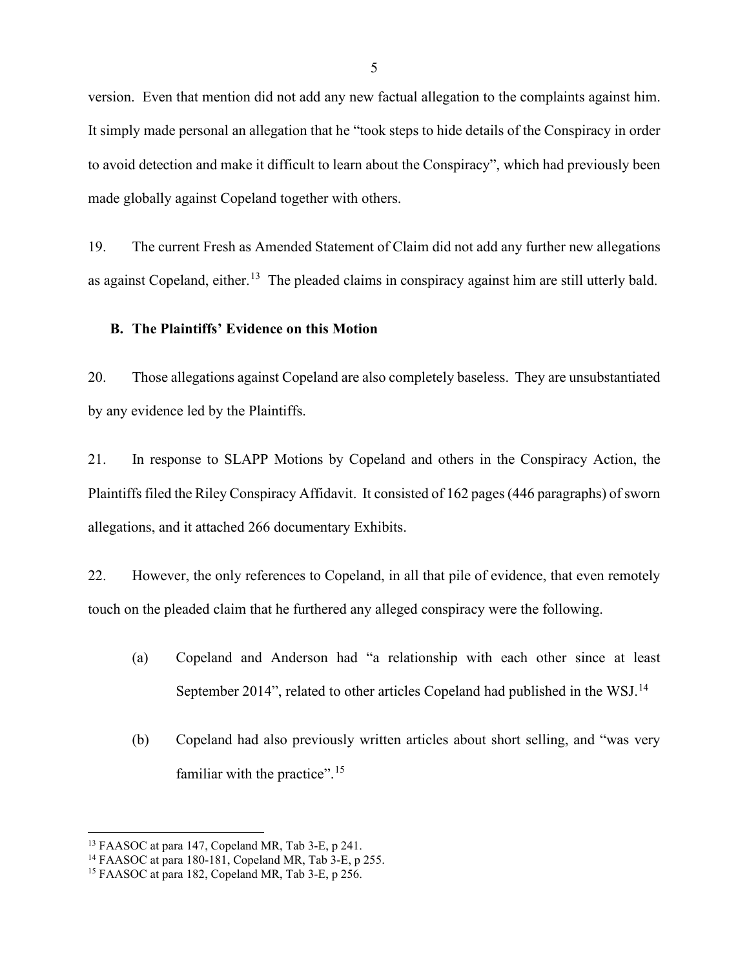version. Even that mention did not add any new factual allegation to the complaints against him. It simply made personal an allegation that he "took steps to hide details of the Conspiracy in order to avoid detection and make it difficult to learn about the Conspiracy", which had previously been made globally against Copeland together with others.

19. The current Fresh as Amended Statement of Claim did not add any further new allegations as against Copeland, either.<sup>[13](#page-14-0)</sup> The pleaded claims in conspiracy against him are still utterly bald.

#### **B. The Plaintiffs' Evidence on this Motion**

20. Those allegations against Copeland are also completely baseless. They are unsubstantiated by any evidence led by the Plaintiffs.

21. In response to SLAPP Motions by Copeland and others in the Conspiracy Action, the Plaintiffs filed the Riley Conspiracy Affidavit. It consisted of 162 pages (446 paragraphs) of sworn allegations, and it attached 266 documentary Exhibits.

22. However, the only references to Copeland, in all that pile of evidence, that even remotely touch on the pleaded claim that he furthered any alleged conspiracy were the following.

- (a) Copeland and Anderson had "a relationship with each other since at least September 20[14](#page-14-1)", related to other articles Copeland had published in the WSJ.<sup>14</sup>
- (b) Copeland had also previously written articles about short selling, and "was very familiar with the practice".  $15$

<span id="page-14-0"></span><sup>13</sup> FAASOC at para 147, Copeland MR, Tab 3-E, p 241.

<span id="page-14-1"></span><sup>14</sup> FAASOC at para 180-181, Copeland MR, Tab 3-E, p 255.

<span id="page-14-2"></span><sup>&</sup>lt;sup>15</sup> FAASOC at para 182, Copeland MR, Tab 3-E, p  $256$ .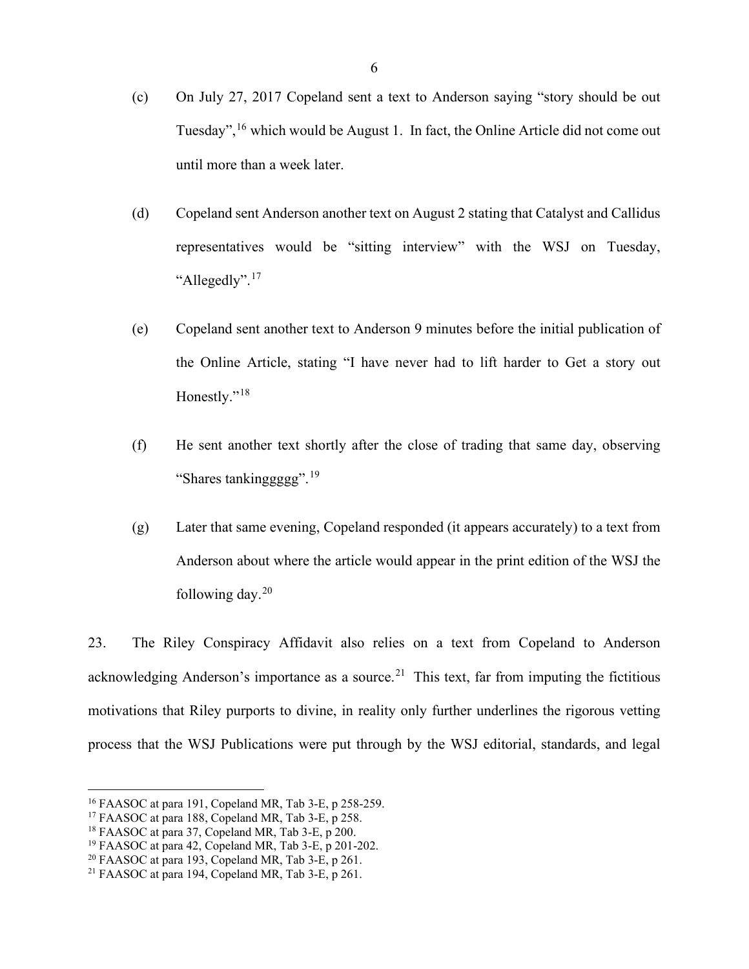- (c) On July 27, 2017 Copeland sent a text to Anderson saying "story should be out Tuesday", <sup>[16](#page-15-0)</sup> which would be August 1. In fact, the Online Article did not come out until more than a week later.
- (d) Copeland sent Anderson another text on August 2 stating that Catalyst and Callidus representatives would be "sitting interview" with the WSJ on Tuesday, "Allegedly".<sup>[17](#page-15-1)</sup>
- (e) Copeland sent another text to Anderson 9 minutes before the initial publication of the Online Article, stating "I have never had to lift harder to Get a story out Honestly."<sup>[18](#page-15-2)</sup>
- (f) He sent another text shortly after the close of trading that same day, observing "Shares tankinggggg".  $19$
- (g) Later that same evening, Copeland responded (it appears accurately) to a text from Anderson about where the article would appear in the print edition of the WSJ the following day. $20$

23. The Riley Conspiracy Affidavit also relies on a text from Copeland to Anderson acknowledging Anderson's importance as a source.<sup>21</sup> This text, far from imputing the fictitious motivations that Riley purports to divine, in reality only further underlines the rigorous vetting process that the WSJ Publications were put through by the WSJ editorial, standards, and legal

<span id="page-15-0"></span><sup>16</sup> FAASOC at para 191, Copeland MR, Tab 3-E, p 258-259.

<span id="page-15-1"></span><sup>&</sup>lt;sup>17</sup> FAASOC at para 188, Copeland MR, Tab 3-E, p 258.

<span id="page-15-2"></span><sup>&</sup>lt;sup>18</sup> FAASOC at para 37, Copeland MR, Tab 3-E, p 200.

<span id="page-15-3"></span><sup>&</sup>lt;sup>19</sup> FAASOC at para 42, Copeland MR, Tab 3-E, p 201-202.

<span id="page-15-4"></span><sup>20</sup> FAASOC at para 193, Copeland MR, Tab 3-E, p 261.

<span id="page-15-5"></span><sup>21</sup> FAASOC at para 194, Copeland MR, Tab 3-E, p 261.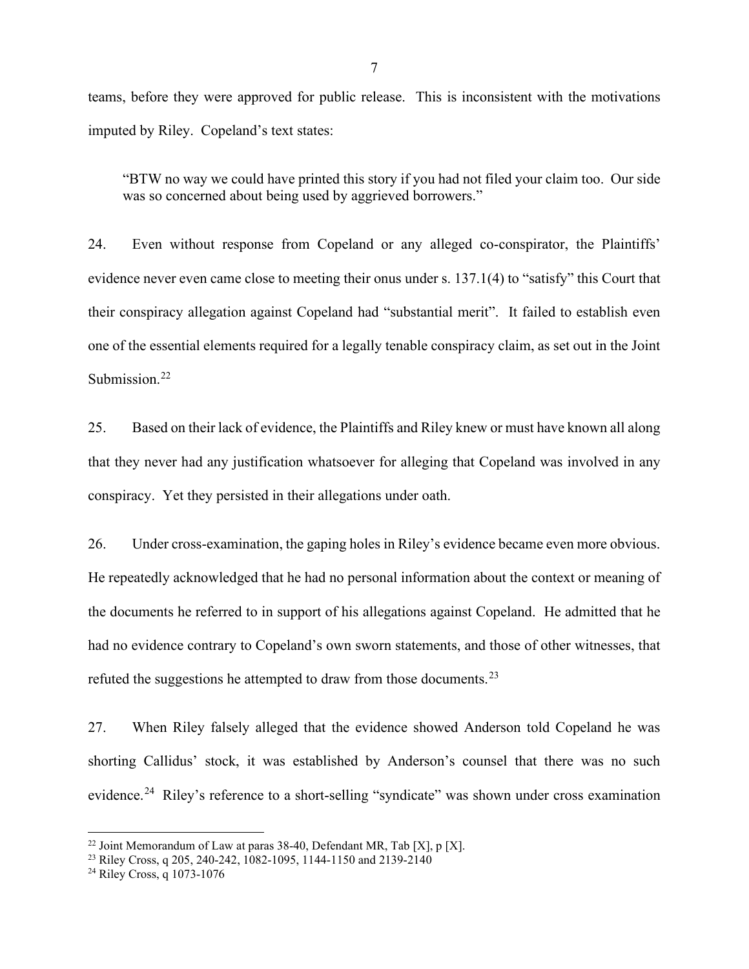teams, before they were approved for public release. This is inconsistent with the motivations imputed by Riley. Copeland's text states:

"BTW no way we could have printed this story if you had not filed your claim too. Our side was so concerned about being used by aggrieved borrowers."

24. Even without response from Copeland or any alleged co-conspirator, the Plaintiffs' evidence never even came close to meeting their onus under s. 137.1(4) to "satisfy" this Court that their conspiracy allegation against Copeland had "substantial merit". It failed to establish even one of the essential elements required for a legally tenable conspiracy claim, as set out in the Joint Submission.<sup>[22](#page-16-0)</sup>

25. Based on their lack of evidence, the Plaintiffs and Riley knew or must have known all along that they never had any justification whatsoever for alleging that Copeland was involved in any conspiracy. Yet they persisted in their allegations under oath.

26. Under cross-examination, the gaping holes in Riley's evidence became even more obvious. He repeatedly acknowledged that he had no personal information about the context or meaning of the documents he referred to in support of his allegations against Copeland. He admitted that he had no evidence contrary to Copeland's own sworn statements, and those of other witnesses, that refuted the suggestions he attempted to draw from those documents.<sup>[23](#page-16-1)</sup>

27. When Riley falsely alleged that the evidence showed Anderson told Copeland he was shorting Callidus' stock, it was established by Anderson's counsel that there was no such evidence.<sup>[24](#page-16-2)</sup> Riley's reference to a short-selling "syndicate" was shown under cross examination

<span id="page-16-0"></span><sup>&</sup>lt;sup>22</sup> Joint Memorandum of Law at paras 38-40, Defendant MR, Tab [X], p [X].

<span id="page-16-1"></span><sup>23</sup> Riley Cross, q 205, 240-242, 1082-1095, 1144-1150 and 2139-2140

<span id="page-16-2"></span><sup>24</sup> Riley Cross, q 1073-1076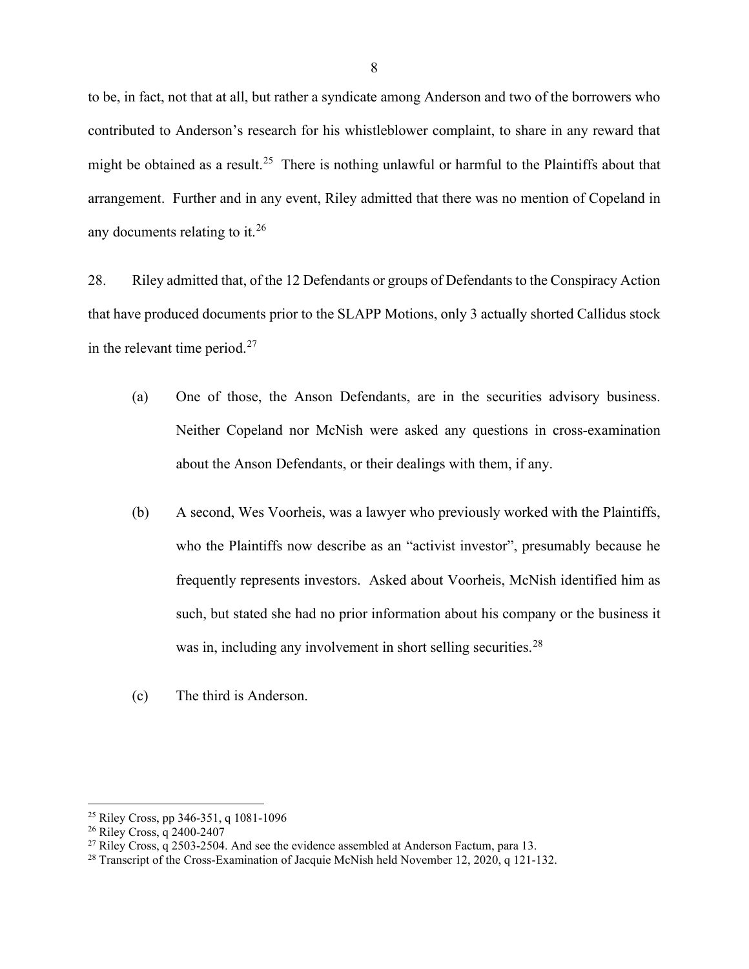to be, in fact, not that at all, but rather a syndicate among Anderson and two of the borrowers who contributed to Anderson's research for his whistleblower complaint, to share in any reward that might be obtained as a result.<sup>25</sup> There is nothing unlawful or harmful to the Plaintiffs about that arrangement. Further and in any event, Riley admitted that there was no mention of Copeland in any documents relating to it.<sup>[26](#page-17-1)</sup>

28. Riley admitted that, of the 12 Defendants or groups of Defendants to the Conspiracy Action that have produced documents prior to the SLAPP Motions, only 3 actually shorted Callidus stock in the relevant time period. $27$ 

- (a) One of those, the Anson Defendants, are in the securities advisory business. Neither Copeland nor McNish were asked any questions in cross-examination about the Anson Defendants, or their dealings with them, if any.
- (b) A second, Wes Voorheis, was a lawyer who previously worked with the Plaintiffs, who the Plaintiffs now describe as an "activist investor", presumably because he frequently represents investors. Asked about Voorheis, McNish identified him as such, but stated she had no prior information about his company or the business it was in, including any involvement in short selling securities.<sup>[28](#page-17-3)</sup>
- (c) The third is Anderson.

<span id="page-17-0"></span><sup>25</sup> Riley Cross, pp 346-351, q 1081-1096

<span id="page-17-1"></span><sup>26</sup> Riley Cross, q 2400-2407

<span id="page-17-2"></span><sup>&</sup>lt;sup>27</sup> Riley Cross, q 2503-2504. And see the evidence assembled at Anderson Factum, para 13.

<span id="page-17-3"></span><sup>&</sup>lt;sup>28</sup> Transcript of the Cross-Examination of Jacquie McNish held November 12, 2020, q 121-132.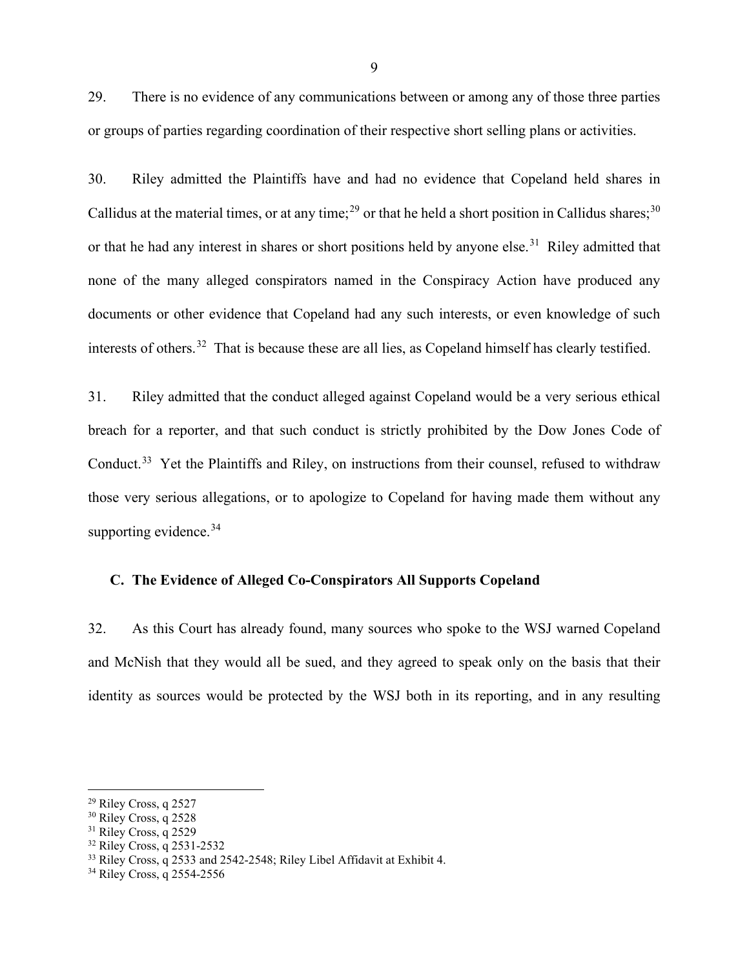29. There is no evidence of any communications between or among any of those three parties or groups of parties regarding coordination of their respective short selling plans or activities.

30. Riley admitted the Plaintiffs have and had no evidence that Copeland held shares in Callidus at the material times, or at any time;<sup>[29](#page-18-0)</sup> or that he held a short position in Callidus shares:<sup>[30](#page-18-1)</sup> or that he had any interest in shares or short positions held by anyone else.<sup>[31](#page-18-2)</sup> Riley admitted that none of the many alleged conspirators named in the Conspiracy Action have produced any documents or other evidence that Copeland had any such interests, or even knowledge of such interests of others.<sup>32</sup> That is because these are all lies, as Copeland himself has clearly testified.

31. Riley admitted that the conduct alleged against Copeland would be a very serious ethical breach for a reporter, and that such conduct is strictly prohibited by the Dow Jones Code of Conduct.<sup>[33](#page-18-4)</sup> Yet the Plaintiffs and Riley, on instructions from their counsel, refused to withdraw those very serious allegations, or to apologize to Copeland for having made them without any supporting evidence.<sup>[34](#page-18-5)</sup>

## **C. The Evidence of Alleged Co-Conspirators All Supports Copeland**

32. As this Court has already found, many sources who spoke to the WSJ warned Copeland and McNish that they would all be sued, and they agreed to speak only on the basis that their identity as sources would be protected by the WSJ both in its reporting, and in any resulting

<span id="page-18-0"></span><sup>29</sup> Riley Cross, q 2527

<span id="page-18-1"></span><sup>&</sup>lt;sup>30</sup> Riley Cross, q 2528

<span id="page-18-2"></span> $31$  Riley Cross, q 2529

<span id="page-18-3"></span><sup>32</sup> Riley Cross, q 2531-2532

<span id="page-18-4"></span><sup>&</sup>lt;sup>33</sup> Riley Cross, q 2533 and 2542-2548; Riley Libel Affidavit at Exhibit 4.

<span id="page-18-5"></span><sup>34</sup> Riley Cross, q 2554-2556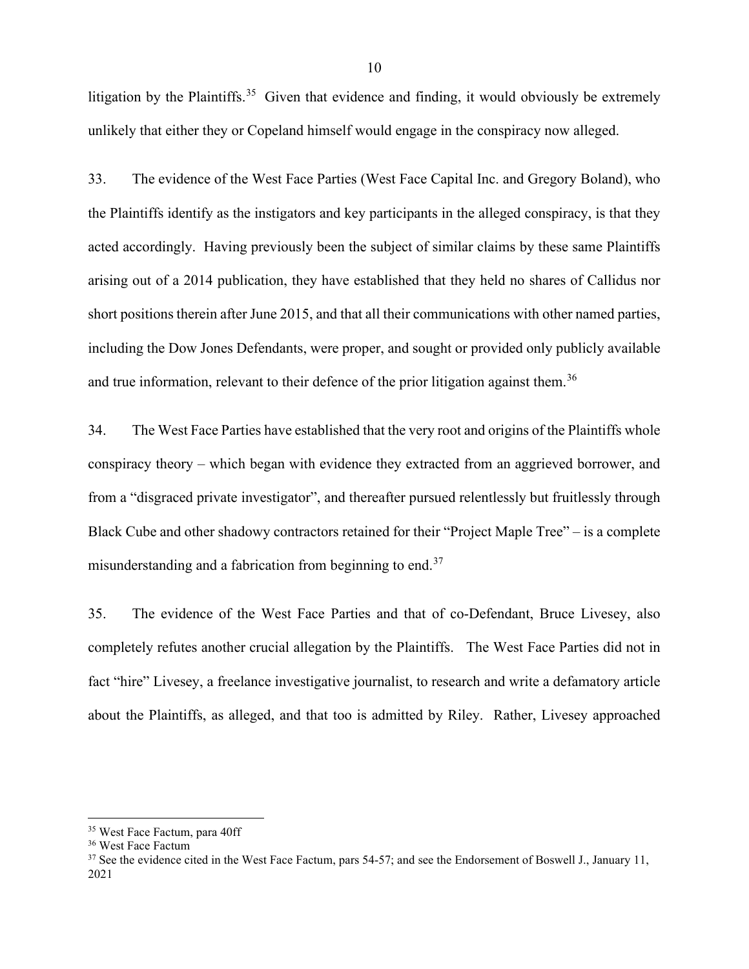litigation by the Plaintiffs.<sup>35</sup> Given that evidence and finding, it would obviously be extremely unlikely that either they or Copeland himself would engage in the conspiracy now alleged.

33. The evidence of the West Face Parties (West Face Capital Inc. and Gregory Boland), who the Plaintiffs identify as the instigators and key participants in the alleged conspiracy, is that they acted accordingly. Having previously been the subject of similar claims by these same Plaintiffs arising out of a 2014 publication, they have established that they held no shares of Callidus nor short positions therein after June 2015, and that all their communications with other named parties, including the Dow Jones Defendants, were proper, and sought or provided only publicly available and true information, relevant to their defence of the prior litigation against them.<sup>[36](#page-19-1)</sup>

34. The West Face Parties have established that the very root and origins of the Plaintiffs whole conspiracy theory – which began with evidence they extracted from an aggrieved borrower, and from a "disgraced private investigator", and thereafter pursued relentlessly but fruitlessly through Black Cube and other shadowy contractors retained for their "Project Maple Tree" – is a complete misunderstanding and a fabrication from beginning to end.<sup>[37](#page-19-2)</sup>

35. The evidence of the West Face Parties and that of co-Defendant, Bruce Livesey, also completely refutes another crucial allegation by the Plaintiffs. The West Face Parties did not in fact "hire" Livesey, a freelance investigative journalist, to research and write a defamatory article about the Plaintiffs, as alleged, and that too is admitted by Riley. Rather, Livesey approached

<span id="page-19-0"></span><sup>35</sup> West Face Factum, para 40ff

<span id="page-19-1"></span><sup>36</sup> West Face Factum

<span id="page-19-2"></span><sup>&</sup>lt;sup>37</sup> See the evidence cited in the West Face Factum, pars 54-57; and see the Endorsement of Boswell J., January 11, 2021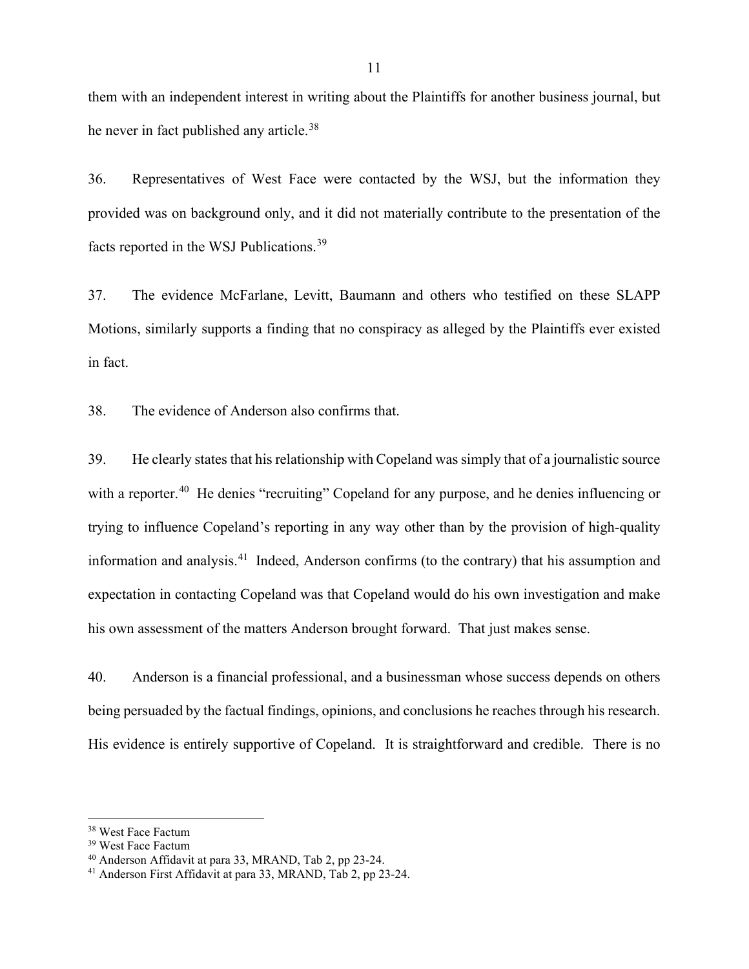them with an independent interest in writing about the Plaintiffs for another business journal, but he never in fact published any article.<sup>[38](#page-20-0)</sup>

36. Representatives of West Face were contacted by the WSJ, but the information they provided was on background only, and it did not materially contribute to the presentation of the facts reported in the WSJ Publications.[39](#page-20-1)

37. The evidence McFarlane, Levitt, Baumann and others who testified on these SLAPP Motions, similarly supports a finding that no conspiracy as alleged by the Plaintiffs ever existed in fact.

38. The evidence of Anderson also confirms that.

39. He clearly states that his relationship with Copeland was simply that of a journalistic source with a reporter.<sup>40</sup> He denies "recruiting" Copeland for any purpose, and he denies influencing or trying to influence Copeland's reporting in any way other than by the provision of high-quality information and analysis.<sup>41</sup> Indeed, Anderson confirms (to the contrary) that his assumption and expectation in contacting Copeland was that Copeland would do his own investigation and make his own assessment of the matters Anderson brought forward. That just makes sense.

40. Anderson is a financial professional, and a businessman whose success depends on others being persuaded by the factual findings, opinions, and conclusions he reaches through his research. His evidence is entirely supportive of Copeland. It is straightforward and credible. There is no

<span id="page-20-0"></span><sup>38</sup> West Face Factum

<span id="page-20-1"></span><sup>39</sup> West Face Factum

<span id="page-20-2"></span><sup>40</sup> Anderson Affidavit at para 33, MRAND, Tab 2, pp 23-24.

<span id="page-20-3"></span><sup>41</sup> Anderson First Affidavit at para 33, MRAND, Tab 2, pp 23-24.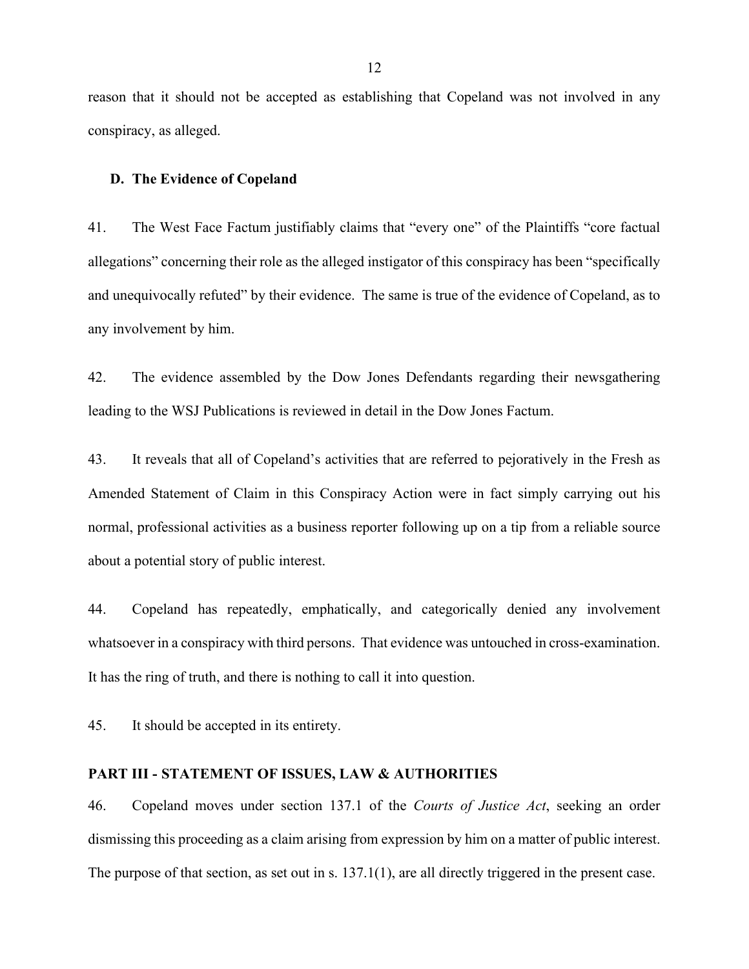reason that it should not be accepted as establishing that Copeland was not involved in any conspiracy, as alleged.

#### **D. The Evidence of Copeland**

41. The West Face Factum justifiably claims that "every one" of the Plaintiffs "core factual allegations" concerning their role as the alleged instigator of this conspiracy has been "specifically and unequivocally refuted" by their evidence. The same is true of the evidence of Copeland, as to any involvement by him.

42. The evidence assembled by the Dow Jones Defendants regarding their newsgathering leading to the WSJ Publications is reviewed in detail in the Dow Jones Factum.

43. It reveals that all of Copeland's activities that are referred to pejoratively in the Fresh as Amended Statement of Claim in this Conspiracy Action were in fact simply carrying out his normal, professional activities as a business reporter following up on a tip from a reliable source about a potential story of public interest.

44. Copeland has repeatedly, emphatically, and categorically denied any involvement whatsoever in a conspiracy with third persons. That evidence was untouched in cross-examination. It has the ring of truth, and there is nothing to call it into question.

45. It should be accepted in its entirety.

#### **PART III - STATEMENT OF ISSUES, LAW & AUTHORITIES**

46. Copeland moves under section 137.1 of the *Courts of Justice Act*, seeking an order dismissing this proceeding as a claim arising from expression by him on a matter of public interest. The purpose of that section, as set out in s. 137.1(1), are all directly triggered in the present case.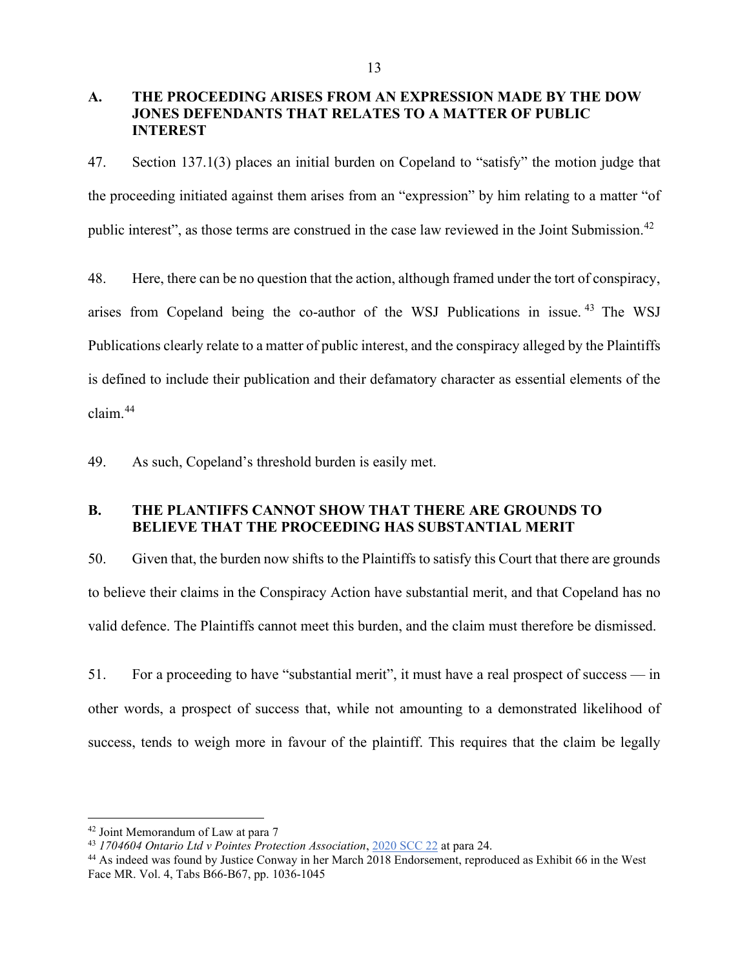## **A. THE PROCEEDING ARISES FROM AN EXPRESSION MADE BY THE DOW JONES DEFENDANTS THAT RELATES TO A MATTER OF PUBLIC INTEREST**

47. Section 137.1(3) places an initial burden on Copeland to "satisfy" the motion judge that the proceeding initiated against them arises from an "expression" by him relating to a matter "of public interest", as those terms are construed in the case law reviewed in the Joint Submission.<sup>[42](#page-22-0)</sup>

48. Here, there can be no question that the action, although framed under the tort of conspiracy, arises from Copeland being the co-author of the WSJ Publications in issue. [43](#page-22-1) The WSJ Publications clearly relate to a matter of public interest, and the conspiracy alleged by the Plaintiffs is defined to include their publication and their defamatory character as essential elements of the claim.[44](#page-22-2)

49. As such, Copeland's threshold burden is easily met.

## **B. THE PLANTIFFS CANNOT SHOW THAT THERE ARE GROUNDS TO BELIEVE THAT THE PROCEEDING HAS SUBSTANTIAL MERIT**

50. Given that, the burden now shifts to the Plaintiffs to satisfy this Court that there are grounds to believe their claims in the Conspiracy Action have substantial merit, and that Copeland has no valid defence. The Plaintiffs cannot meet this burden, and the claim must therefore be dismissed.

51. For a proceeding to have "substantial merit", it must have a real prospect of success — in other words, a prospect of success that, while not amounting to a demonstrated likelihood of success, tends to weigh more in favour of the plaintiff. This requires that the claim be legally

<span id="page-22-0"></span><sup>42</sup> Joint Memorandum of Law at para 7

<span id="page-22-1"></span><sup>43</sup> *1704604 Ontario Ltd v Pointes Protection Association*, [2020 SCC 22](http://canlii.ca/t/j9kjz) at para 24.

<span id="page-22-2"></span><sup>44</sup> As indeed was found by Justice Conway in her March 2018 Endorsement, reproduced as Exhibit 66 in the West Face MR. Vol. 4, Tabs B66-B67, pp. 1036-1045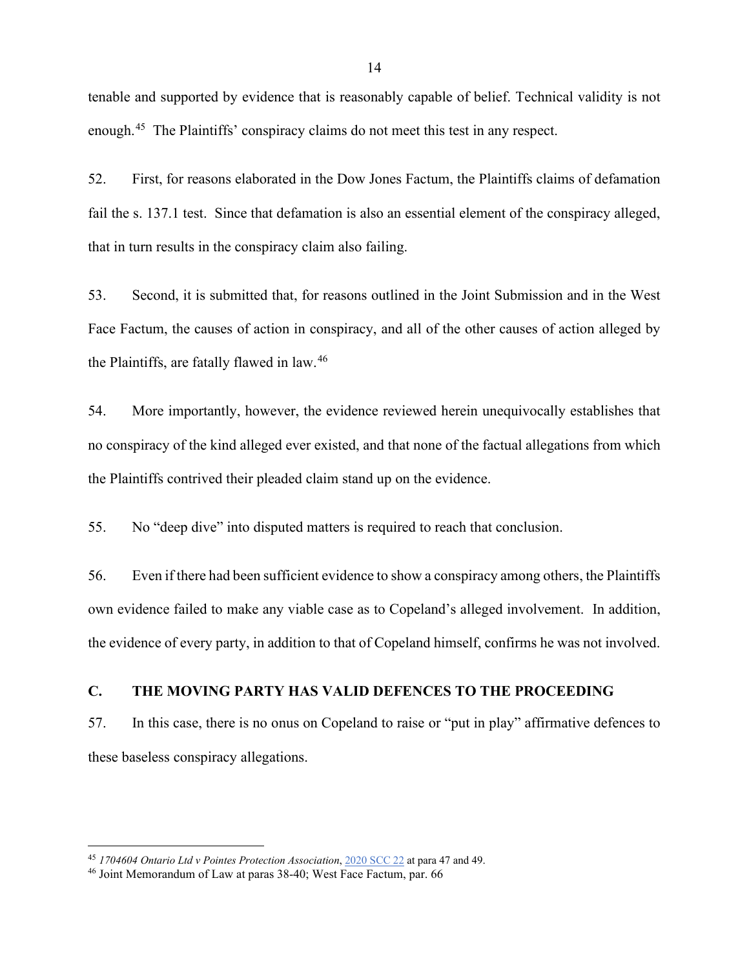tenable and supported by evidence that is reasonably capable of belief. Technical validity is not enough.[45](#page-23-0) The Plaintiffs' conspiracy claims do not meet this test in any respect.

52. First, for reasons elaborated in the Dow Jones Factum, the Plaintiffs claims of defamation fail the s. 137.1 test. Since that defamation is also an essential element of the conspiracy alleged, that in turn results in the conspiracy claim also failing.

53. Second, it is submitted that, for reasons outlined in the Joint Submission and in the West Face Factum, the causes of action in conspiracy, and all of the other causes of action alleged by the Plaintiffs, are fatally flawed in law.[46](#page-23-1)

54. More importantly, however, the evidence reviewed herein unequivocally establishes that no conspiracy of the kind alleged ever existed, and that none of the factual allegations from which the Plaintiffs contrived their pleaded claim stand up on the evidence.

55. No "deep dive" into disputed matters is required to reach that conclusion.

56. Even if there had been sufficient evidence to show a conspiracy among others, the Plaintiffs own evidence failed to make any viable case as to Copeland's alleged involvement. In addition, the evidence of every party, in addition to that of Copeland himself, confirms he was not involved.

### **C. THE MOVING PARTY HAS VALID DEFENCES TO THE PROCEEDING**

57. In this case, there is no onus on Copeland to raise or "put in play" affirmative defences to these baseless conspiracy allegations.

<span id="page-23-0"></span><sup>45</sup> *1704604 Ontario Ltd v Pointes Protection Association*, [2020 SCC 22](http://canlii.ca/t/j9kjz) at para 47 and 49.

<span id="page-23-1"></span><sup>46</sup> Joint Memorandum of Law at paras 38-40; West Face Factum, par. 66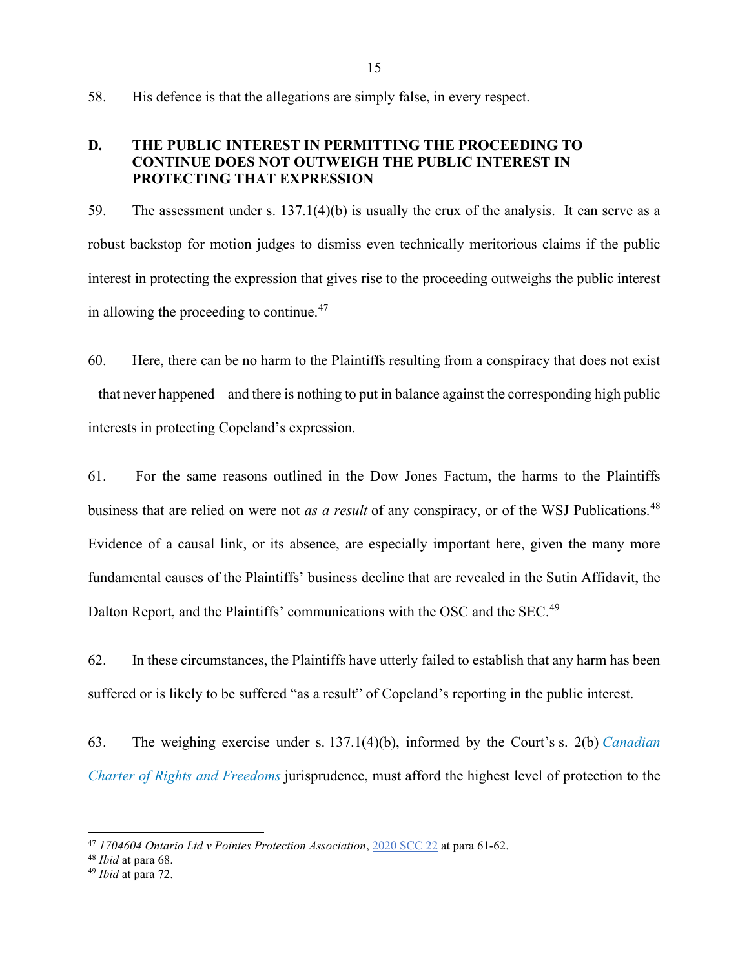58. His defence is that the allegations are simply false, in every respect.

## **D. THE PUBLIC INTEREST IN PERMITTING THE PROCEEDING TO CONTINUE DOES NOT OUTWEIGH THE PUBLIC INTEREST IN PROTECTING THAT EXPRESSION**

59. The assessment under s. 137.1(4)(b) is usually the crux of the analysis. It can serve as a robust backstop for motion judges to dismiss even technically meritorious claims if the public interest in protecting the expression that gives rise to the proceeding outweighs the public interest in allowing the proceeding to continue.<sup>[47](#page-24-0)</sup>

60. Here, there can be no harm to the Plaintiffs resulting from a conspiracy that does not exist – that never happened – and there is nothing to put in balance against the corresponding high public interests in protecting Copeland's expression.

61. For the same reasons outlined in the Dow Jones Factum, the harms to the Plaintiffs business that are relied on were not *as a result* of any conspiracy, or of the WSJ Publications. [48](#page-24-1) Evidence of a causal link, or its absence, are especially important here, given the many more fundamental causes of the Plaintiffs' business decline that are revealed in the Sutin Affidavit, the Dalton Report, and the Plaintiffs' communications with the OSC and the SEC.<sup>[49](#page-24-2)</sup>

62. In these circumstances, the Plaintiffs have utterly failed to establish that any harm has been suffered or is likely to be suffered "as a result" of Copeland's reporting in the public interest.

63. The weighing exercise under s. 137.1(4)(b), informed by the Court's s. 2(b) *[Canadian](https://www.canlii.org/en/ca/laws/stat/schedule-b-to-the-canada-act-1982-uk-1982-c-11/latest/schedule-b-to-the-canada-act-1982-uk-1982-c-11.html)  [Charter of Rights and Freedoms](https://www.canlii.org/en/ca/laws/stat/schedule-b-to-the-canada-act-1982-uk-1982-c-11/latest/schedule-b-to-the-canada-act-1982-uk-1982-c-11.html)* jurisprudence, must afford the highest level of protection to the

<span id="page-24-0"></span><sup>47</sup> *1704604 Ontario Ltd v Pointes Protection Association*, [2020 SCC 22](http://canlii.ca/t/j9kjz) at para 61-62.

<span id="page-24-1"></span><sup>48</sup> *Ibid* at para 68.

<span id="page-24-2"></span><sup>49</sup> *Ibid* at para 72.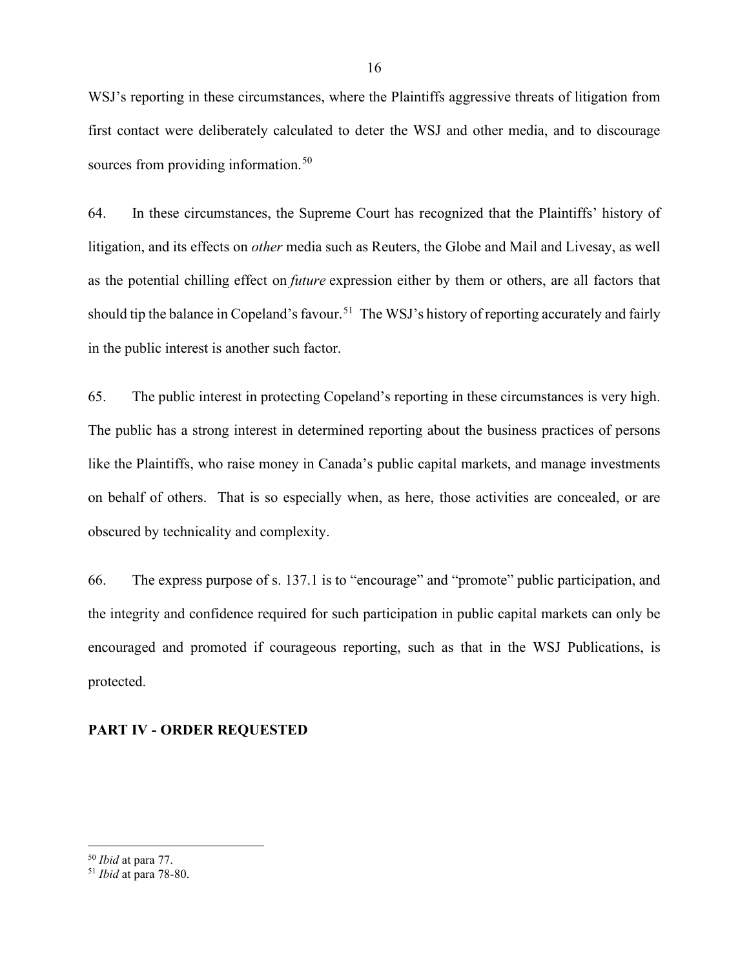WSJ's reporting in these circumstances, where the Plaintiffs aggressive threats of litigation from first contact were deliberately calculated to deter the WSJ and other media, and to discourage sources from providing information.<sup>[50](#page-25-0)</sup>

64. In these circumstances, the Supreme Court has recognized that the Plaintiffs' history of litigation, and its effects on *other* media such as Reuters, the Globe and Mail and Livesay, as well as the potential chilling effect on *future* expression either by them or others, are all factors that should tip the balance in Copeland's favour.<sup>51</sup> The WSJ's history of reporting accurately and fairly in the public interest is another such factor.

65. The public interest in protecting Copeland's reporting in these circumstances is very high. The public has a strong interest in determined reporting about the business practices of persons like the Plaintiffs, who raise money in Canada's public capital markets, and manage investments on behalf of others. That is so especially when, as here, those activities are concealed, or are obscured by technicality and complexity.

66. The express purpose of s. 137.1 is to "encourage" and "promote" public participation, and the integrity and confidence required for such participation in public capital markets can only be encouraged and promoted if courageous reporting, such as that in the WSJ Publications, is protected.

## **PART IV - ORDER REQUESTED**

<span id="page-25-0"></span><sup>50</sup> *Ibid* at para 77.

<span id="page-25-1"></span><sup>51</sup> *Ibid* at para 78-80.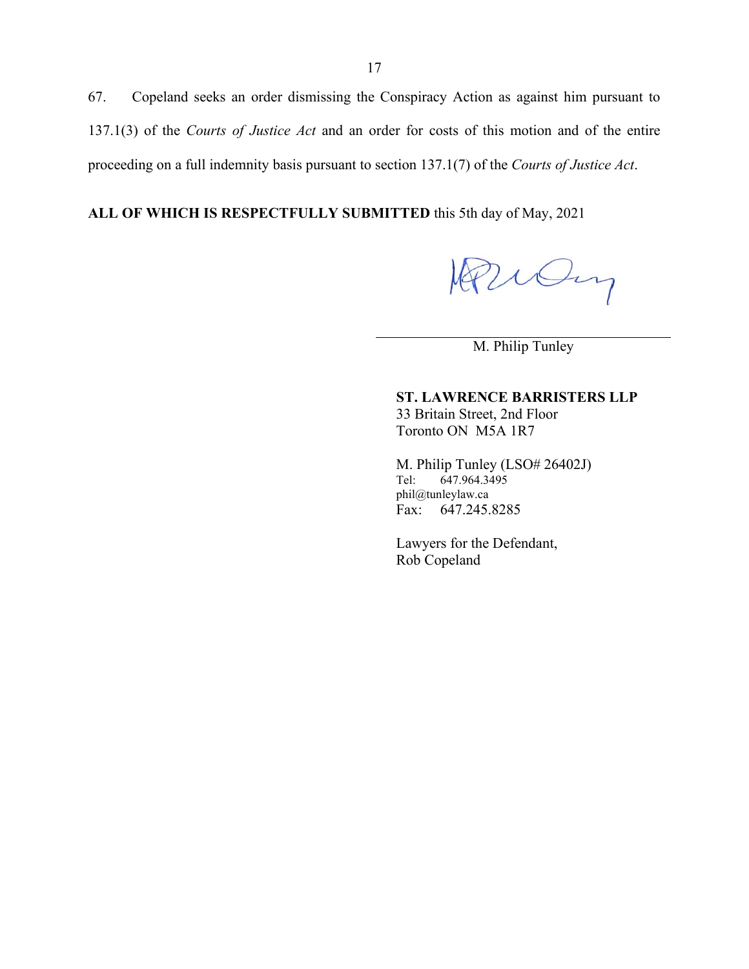67. Copeland seeks an order dismissing the Conspiracy Action as against him pursuant to 137.1(3) of the *Courts of Justice Act* and an order for costs of this motion and of the entire proceeding on a full indemnity basis pursuant to section 137.1(7) of the *Courts of Justice Act*.

**ALL OF WHICH IS RESPECTFULLY SUBMITTED** this 5th day of May, 2021

Parcin

M. Philip Tunley

**ST. LAWRENCE BARRISTERS LLP** 33 Britain Street, 2nd Floor Toronto ON M5A 1R7

M. Philip Tunley (LSO# 26402J)<br>Tel: 647.964.3495 647.964.3495 phil@tunleylaw.ca Fax: 647.245.8285

Lawyers for the Defendant, Rob Copeland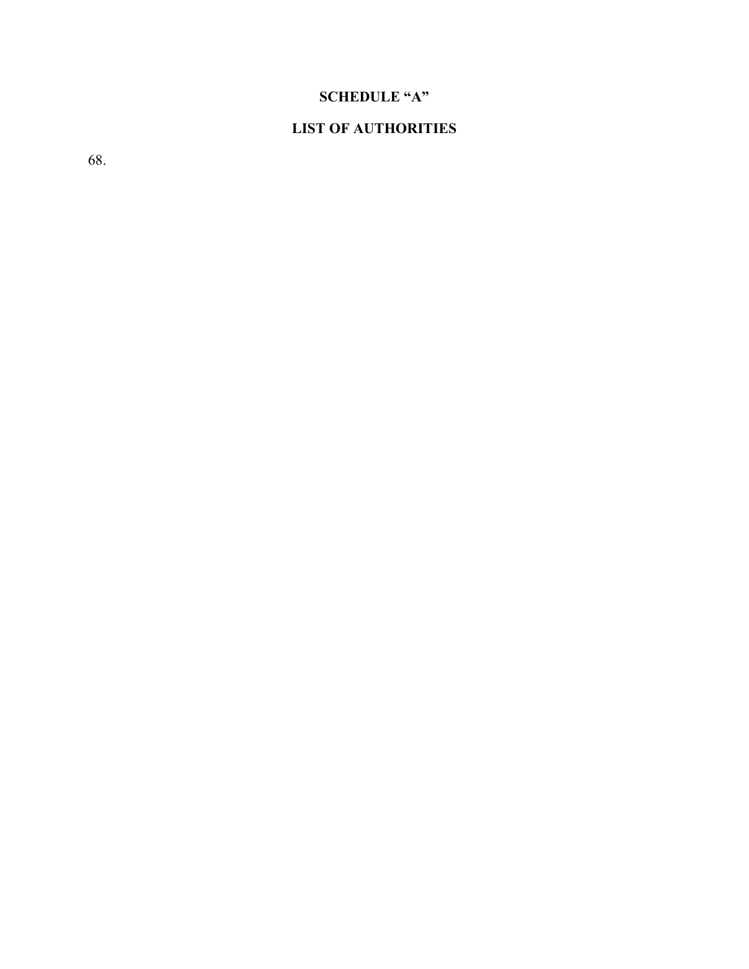# **SCHEDULE "A"**

# **LIST OF AUTHORITIES**

68.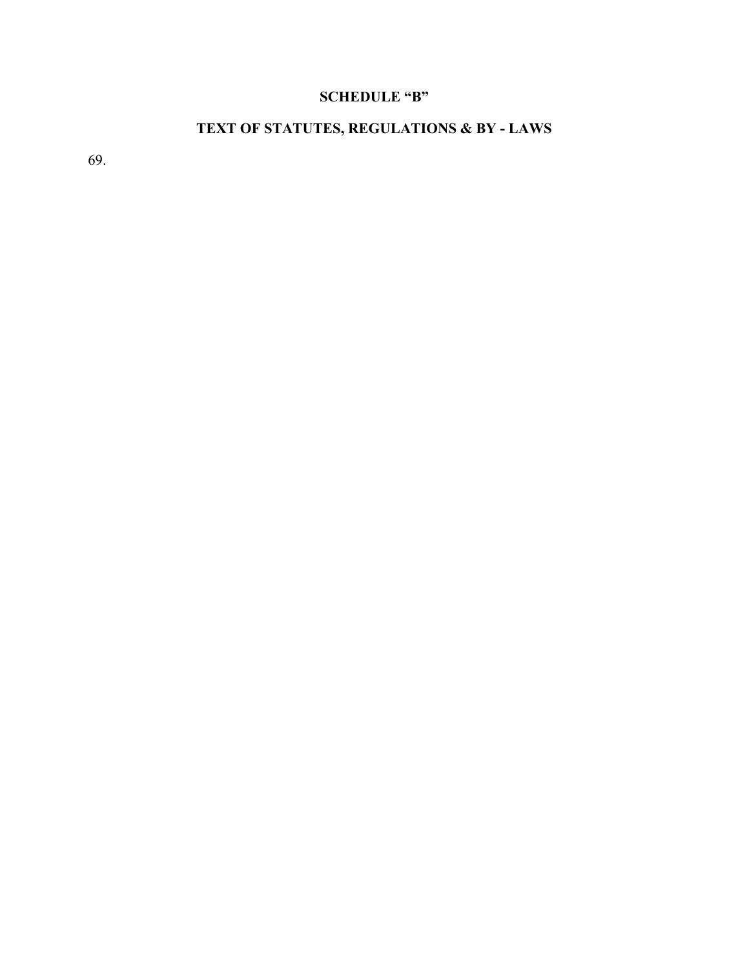# **SCHEDULE "B"**

# **TEXT OF STATUTES, REGULATIONS & BY - LAWS**

69.